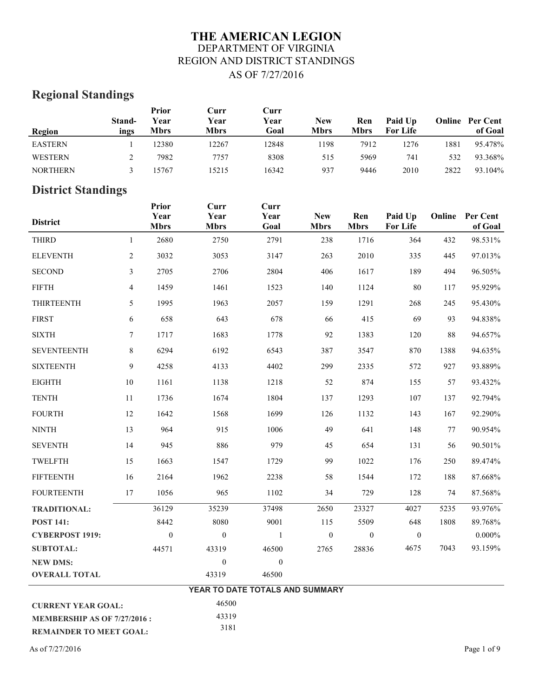# **THE AMERICAN LEGION** DEPARTMENT OF VIRGINIA REGION AND DISTRICT STANDINGS AS OF 7/27/2016

# **Regional Standings**

|                 |        | Prior               | Curr         | Curr         |                           |                    |                            |      |                                   |
|-----------------|--------|---------------------|--------------|--------------|---------------------------|--------------------|----------------------------|------|-----------------------------------|
|                 | Stand- | Year<br><b>Mbrs</b> | Year<br>Mbrs | Year<br>Goal | <b>New</b><br><b>Mbrs</b> | Ren<br><b>Mbrs</b> | Paid Up<br><b>For Life</b> |      | <b>Online</b> Per Cent<br>of Goal |
| Region          | ings   |                     |              |              |                           |                    |                            |      |                                   |
| <b>EASTERN</b>  |        | 12380               | 12267        | 12848        | 198                       | 7912               | 1276                       | 1881 | 95.478%                           |
| <b>WESTERN</b>  |        | 7982                | 7757         | 8308         | 515                       | 5969               | 741                        | 532  | 93.368%                           |
| <b>NORTHERN</b> |        | 15767               | 15215        | 16342        | 937                       | 9446               | 2010                       | 2822 | 93.104%                           |

# **District Standings**

| <b>District</b>        |                | Prior<br>Year<br><b>Mbrs</b> | Curr<br>Year<br><b>Mbrs</b>     | Curr<br>Year<br>Goal | <b>New</b><br><b>Mbrs</b> | Ren<br><b>Mbrs</b> | Paid Up<br><b>For Life</b> | Online | <b>Per Cent</b><br>of Goal |
|------------------------|----------------|------------------------------|---------------------------------|----------------------|---------------------------|--------------------|----------------------------|--------|----------------------------|
| <b>THIRD</b>           | $\mathbf{1}$   | 2680                         | 2750                            | 2791                 | 238                       | 1716               | 364                        | 432    | 98.531%                    |
| <b>ELEVENTH</b>        | $\overline{2}$ | 3032                         | 3053                            | 3147                 | 263                       | 2010               | 335                        | 445    | 97.013%                    |
| <b>SECOND</b>          | 3              | 2705                         | 2706                            | 2804                 | 406                       | 1617               | 189                        | 494    | 96.505%                    |
| <b>FIFTH</b>           | 4              | 1459                         | 1461                            | 1523                 | 140                       | 1124               | 80                         | 117    | 95.929%                    |
| <b>THIRTEENTH</b>      | 5              | 1995                         | 1963                            | 2057                 | 159                       | 1291               | 268                        | 245    | 95.430%                    |
| <b>FIRST</b>           | 6              | 658                          | 643                             | 678                  | 66                        | 415                | 69                         | 93     | 94.838%                    |
| <b>SIXTH</b>           | 7              | 1717                         | 1683                            | 1778                 | 92                        | 1383               | 120                        | 88     | 94.657%                    |
| <b>SEVENTEENTH</b>     | 8              | 6294                         | 6192                            | 6543                 | 387                       | 3547               | 870                        | 1388   | 94.635%                    |
| <b>SIXTEENTH</b>       | 9              | 4258                         | 4133                            | 4402                 | 299                       | 2335               | 572                        | 927    | 93.889%                    |
| <b>EIGHTH</b>          | $10\,$         | 1161                         | 1138                            | 1218                 | 52                        | 874                | 155                        | 57     | 93.432%                    |
| <b>TENTH</b>           | 11             | 1736                         | 1674                            | 1804                 | 137                       | 1293               | 107                        | 137    | 92.794%                    |
| <b>FOURTH</b>          | 12             | 1642                         | 1568                            | 1699                 | 126                       | 1132               | 143                        | 167    | 92.290%                    |
| <b>NINTH</b>           | 13             | 964                          | 915                             | 1006                 | 49                        | 641                | 148                        | 77     | 90.954%                    |
| <b>SEVENTH</b>         | 14             | 945                          | 886                             | 979                  | 45                        | 654                | 131                        | 56     | 90.501%                    |
| TWELFTH                | 15             | 1663                         | 1547                            | 1729                 | 99                        | 1022               | 176                        | 250    | 89.474%                    |
| <b>FIFTEENTH</b>       | 16             | 2164                         | 1962                            | 2238                 | 58                        | 1544               | 172                        | 188    | 87.668%                    |
| <b>FOURTEENTH</b>      | 17             | 1056                         | 965                             | 1102                 | 34                        | 729                | 128                        | 74     | 87.568%                    |
| <b>TRADITIONAL:</b>    |                | 36129                        | 35239                           | 37498                | 2650                      | 23327              | 4027                       | 5235   | 93.976%                    |
| <b>POST 141:</b>       |                | 8442                         | 8080                            | 9001                 | 115                       | 5509               | 648                        | 1808   | 89.768%                    |
| <b>CYBERPOST 1919:</b> |                | $\boldsymbol{0}$             | $\theta$                        | $\mathbf{1}$         | $\mathbf{0}$              | $\mathbf{0}$       | $\mathbf{0}$               |        | $0.000\%$                  |
| <b>SUBTOTAL:</b>       |                | 44571                        | 43319                           | 46500                | 2765                      | 28836              | 4675                       | 7043   | 93.159%                    |
| <b>NEW DMS:</b>        |                |                              | $\boldsymbol{0}$                | $\mathbf{0}$         |                           |                    |                            |        |                            |
| <b>OVERALL TOTAL</b>   |                |                              | 43319                           | 46500                |                           |                    |                            |        |                            |
|                        |                |                              | YEAR TO DATE TOTALS AND SUMMARY |                      |                           |                    |                            |        |                            |

| <b>CURRENT YEAR GOAL:</b>           | 46500 |
|-------------------------------------|-------|
| <b>MEMBERSHIP AS OF 7/27/2016 :</b> | 43319 |
| <b>REMAINDER TO MEET GOAL:</b>      | 3181  |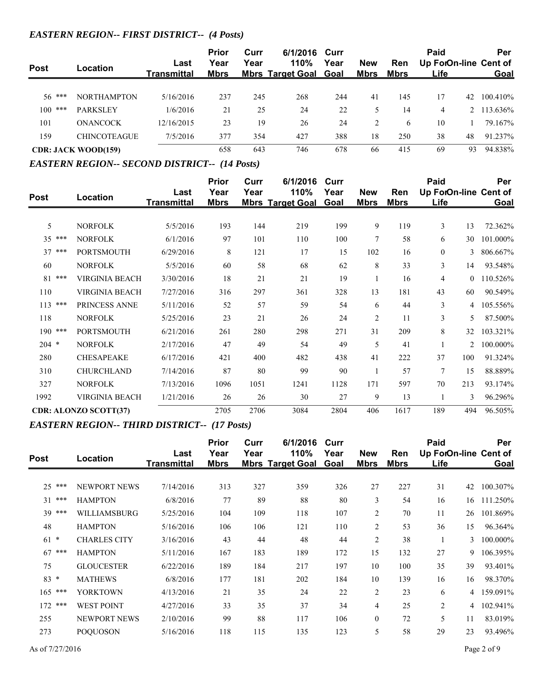## *EASTERN REGION-- FIRST DISTRICT-- (4 Posts)*

| <b>Post</b> | Location                   | Last<br>Transmittal | <b>Prior</b><br>Year<br><u>Mbrs</u> | Curr<br>Year | 6/1/2016 Curr<br><b>110%</b><br><b>Mbrs Target Goal Goal</b> | Year | <b>New</b><br><u>Mbrs</u> | Ren<br><b>Mbrs</b> | Paid<br>Up ForOn-line Cent of<br><u>Life</u> |     | Per<br><b>Goal</b> |
|-------------|----------------------------|---------------------|-------------------------------------|--------------|--------------------------------------------------------------|------|---------------------------|--------------------|----------------------------------------------|-----|--------------------|
|             |                            |                     |                                     |              |                                                              |      |                           |                    |                                              |     |                    |
| $56$ ***    | <b>NORTHAMPTON</b>         | 5/16/2016           | 237                                 | 245          | 268                                                          | 244  | 41                        | 145                | 17                                           | 42. | 100.410\%          |
| ***<br>100  | <b>PARKSLEY</b>            | 1/6/2016            | 21                                  | 25           | 24                                                           | 22   | 5                         | 14                 | $\overline{4}$                               |     | 2 113.636%         |
| 101         | <b>ONANCOCK</b>            | 12/16/2015          | 23                                  | 19           | 26                                                           | 24   |                           | 6                  | 10                                           |     | 79.167%            |
| 159         | <b>CHINCOTEAGUE</b>        | 7/5/2016            | 377                                 | 354          | 427                                                          | 388  | 18                        | 250                | 38                                           | 48  | 91.237%            |
|             | <b>CDR: JACK WOOD(159)</b> |                     | 658                                 | 643          | 746                                                          | 678  | 66                        | 415                | 69                                           | 93  | 94.838%            |

#### *EASTERN REGION-- SECOND DISTRICT-- (14 Posts)*

|             |                              |                    | Prior       | Curr | 6/1/2016                | Curr |                |             | Paid           |     | Per                   |
|-------------|------------------------------|--------------------|-------------|------|-------------------------|------|----------------|-------------|----------------|-----|-----------------------|
| <b>Post</b> | Location                     | Last               | Year        | Year | 110%                    | Year | <b>New</b>     | Ren         |                |     | Up ForOn-line Cent of |
|             |                              | <b>Transmittal</b> | <b>Mbrs</b> |      | <b>Mbrs Target Goal</b> | Goal | <b>Mbrs</b>    | <b>Mbrs</b> | <u>Life</u>    |     | <u>Goal</u>           |
| 5           | <b>NORFOLK</b>               | 5/5/2016           | 193         | 144  | 219                     | 199  | 9              | 119         | 3              | 13  | 72.362%               |
| 35<br>***   | <b>NORFOLK</b>               | 6/1/2016           | 97          | 101  | 110                     | 100  | $\overline{7}$ | 58          | 6              | 30  | 101.000%              |
| 37<br>***   | <b>PORTSMOUTH</b>            | 6/29/2016          | 8           | 121  | 17                      | 15   | 102            | 16          | $\overline{0}$ | 3   | 806.667%              |
| 60          | <b>NORFOLK</b>               | 5/5/2016           | 60          | 58   | 68                      | 62   | 8              | 33          | 3              | 14  | 93.548%               |
| 81<br>***   | <b>VIRGINIA BEACH</b>        | 3/30/2016          | 18          | 21   | 21                      | 19   | $\mathbf{1}$   | 16          | 4              | 0   | 110.526%              |
| 110         | <b>VIRGINIA BEACH</b>        | 7/27/2016          | 316         | 297  | 361                     | 328  | 13             | 181         | 43             | 60  | 90.549%               |
| 113<br>***  | PRINCESS ANNE                | 5/11/2016          | 52          | 57   | 59                      | 54   | 6              | 44          | 3              | 4   | 105.556%              |
| 118         | <b>NORFOLK</b>               | 5/25/2016          | 23          | 21   | 26                      | 24   | $\overline{2}$ | 11          | 3              | 5   | 87.500%               |
| 190 ***     | <b>PORTSMOUTH</b>            | 6/21/2016          | 261         | 280  | 298                     | 271  | 31             | 209         | 8              | 32  | 103.321%              |
| $204$ *     | <b>NORFOLK</b>               | 2/17/2016          | 47          | 49   | 54                      | 49   | 5              | 41          |                | 2   | 100.000%              |
| 280         | <b>CHESAPEAKE</b>            | 6/17/2016          | 421         | 400  | 482                     | 438  | 41             | 222         | 37             | 100 | 91.324%               |
| 310         | <b>CHURCHLAND</b>            | 7/14/2016          | 87          | 80   | 99                      | 90   | 1              | 57          | $\overline{7}$ | 15  | 88.889%               |
| 327         | <b>NORFOLK</b>               | 7/13/2016          | 1096        | 1051 | 1241                    | 1128 | 171            | 597         | 70             | 213 | 93.174%               |
| 1992        | <b>VIRGINIA BEACH</b>        | 1/21/2016          | 26          | 26   | 30                      | 27   | 9              | 13          |                | 3   | 96.296%               |
|             | <b>CDR: ALONZO SCOTT(37)</b> |                    | 2705        | 2706 | 3084                    | 2804 | 406            | 1617        | 189            | 494 | 96.505%               |

#### *EASTERN REGION-- THIRD DISTRICT-- (17 Posts)*

|           |                     |                     | <b>Prior</b>        | Curr | 6/1/2016                        | Curr                |                           |                    | Paid                          |    | Per      |
|-----------|---------------------|---------------------|---------------------|------|---------------------------------|---------------------|---------------------------|--------------------|-------------------------------|----|----------|
| Post      | Location            | Last<br>Transmittal | Year<br><b>Mbrs</b> | Year | 110%<br><b>Mbrs Target Goal</b> | Year<br><b>Goal</b> | <b>New</b><br><b>Mbrs</b> | Ren<br><b>Mbrs</b> | Up ForOn-line Cent of<br>Life |    | Goal     |
|           |                     |                     |                     |      |                                 |                     |                           |                    |                               |    |          |
| $25$ ***  | <b>NEWPORT NEWS</b> | 7/14/2016           | 313                 | 327  | 359                             | 326                 | 27                        | 227                | 31                            | 42 | 100.307% |
| ***<br>31 | <b>HAMPTON</b>      | 6/8/2016            | 77                  | 89   | 88                              | 80                  | 3                         | 54                 | 16                            | 16 | 111.250% |
| 39 ***    | WILLIAMSBURG        | 5/25/2016           | 104                 | 109  | 118                             | 107                 | 2                         | 70                 | 11                            | 26 | 101.869% |
| 48        | <b>HAMPTON</b>      | 5/16/2016           | 106                 | 106  | 121                             | 110                 | 2                         | 53                 | 36                            | 15 | 96.364%  |
| $61 *$    | <b>CHARLES CITY</b> | 3/16/2016           | 43                  | 44   | 48                              | 44                  | $\overline{2}$            | 38                 |                               | 3  | 100.000% |
| ***<br>67 | <b>HAMPTON</b>      | 5/11/2016           | 167                 | 183  | 189                             | 172                 | 15                        | 132                | 27                            | 9  | 106.395% |
| 75        | <b>GLOUCESTER</b>   | 6/22/2016           | 189                 | 184  | 217                             | 197                 | 10                        | 100                | 35                            | 39 | 93.401%  |
| $83 *$    | <b>MATHEWS</b>      | 6/8/2016            | 177                 | 181  | 202                             | 184                 | 10                        | 139                | 16                            | 16 | 98.370%  |
| $165$ *** | <b>YORKTOWN</b>     | 4/13/2016           | 21                  | 35   | 24                              | 22                  | $\overline{2}$            | 23                 | 6                             | 4  | 159.091% |
| 172 ***   | <b>WEST POINT</b>   | 4/27/2016           | 33                  | 35   | 37                              | 34                  | $\overline{4}$            | 25                 | $\overline{2}$                | 4  | 102.941% |
| 255       | <b>NEWPORT NEWS</b> | 2/10/2016           | 99                  | 88   | 117                             | 106                 | $\mathbf{0}$              | 72                 | 5                             | 11 | 83.019%  |
| 273       | <b>POQUOSON</b>     | 5/16/2016           | 118                 | 115  | 135                             | 123                 | 5                         | 58                 | 29                            | 23 | 93.496%  |
|           |                     |                     |                     |      |                                 |                     |                           |                    |                               |    |          |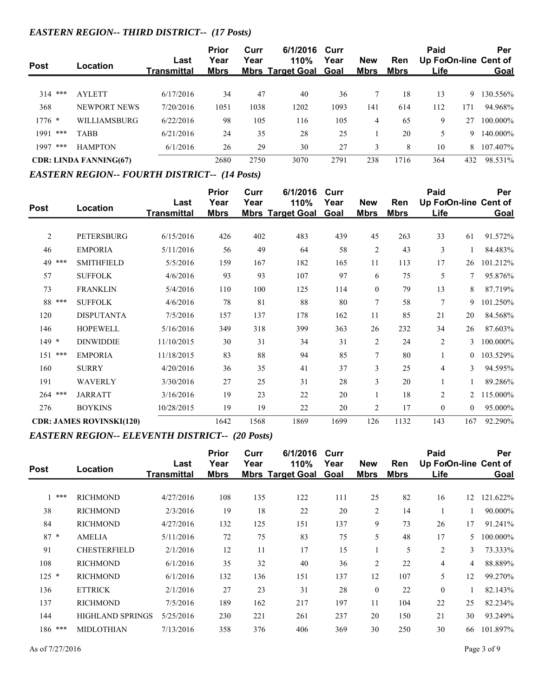## *EASTERN REGION-- THIRD DISTRICT-- (17 Posts)*

| <b>Post</b> | Location                      | Last<br>Transmittal | <b>Prior</b><br>Year<br><u>Mbrs</u> | Curr<br>Year | 6/1/2016 Curr<br>110%<br><b>Mbrs Target Goal Goal</b> | Year | <b>New</b><br><u>Mbrs</u> | <b>Ren</b><br><b>Mbrs</b> | Paid<br>Life |     | Per<br>Up ForOn-line Cent of<br><b>Goal</b> |
|-------------|-------------------------------|---------------------|-------------------------------------|--------------|-------------------------------------------------------|------|---------------------------|---------------------------|--------------|-----|---------------------------------------------|
|             |                               |                     |                                     |              |                                                       |      |                           |                           |              |     |                                             |
| 314<br>***  | <b>AYLETT</b>                 | 6/17/2016           | 34                                  | 47           | 40                                                    | 36   |                           | 18                        | 13           | 9.  | 130.556%                                    |
| 368         | <b>NEWPORT NEWS</b>           | 7/20/2016           | 1051                                | 1038         | 1202                                                  | 1093 | 141                       | 614                       | 112          | 171 | 94.968%                                     |
| $1776$ *    | WILLIAMSBURG                  | 6/22/2016           | 98                                  | 105          | 116                                                   | 105  | 4                         | 65                        | 9            | 27  | 100.000%                                    |
| ***<br>1991 | <b>TABB</b>                   | 6/21/2016           | 24                                  | 35           | 28                                                    | 25   |                           | 20                        | 5            | 9   | 140.000%                                    |
| ***<br>1997 | <b>HAMPTON</b>                | 6/1/2016            | 26                                  | 29           | 30                                                    | 27   | 3                         | 8                         | 10           | 8   | 107.407%                                    |
|             | <b>CDR: LINDA FANNING(67)</b> |                     | 2680                                | 2750         | 3070                                                  | 2791 | 238                       | 1716                      | 364          | 432 | 98.531%                                     |

#### *EASTERN REGION-- FOURTH DISTRICT-- (14 Posts)*

|                |                                 |                            | <b>Prior</b>        | Curr | 6/1/2016                        | Curr         |                           |                    | Paid                                 |                | Per         |
|----------------|---------------------------------|----------------------------|---------------------|------|---------------------------------|--------------|---------------------------|--------------------|--------------------------------------|----------------|-------------|
| Post           | Location                        | Last<br><u>Transmittal</u> | Year<br><u>Mbrs</u> | Year | 110%<br><b>Mbrs Target Goal</b> | Year<br>Goal | <b>New</b><br><b>Mbrs</b> | Ren<br><u>Mbrs</u> | Up ForOn-line Cent of<br><b>Life</b> |                | <b>Goal</b> |
|                |                                 |                            |                     |      |                                 |              |                           |                    |                                      |                |             |
| $\overline{2}$ | <b>PETERSBURG</b>               | 6/15/2016                  | 426                 | 402  | 483                             | 439          | 45                        | 263                | 33                                   | 61             | 91.572%     |
| 46             | <b>EMPORIA</b>                  | 5/11/2016                  | 56                  | 49   | 64                              | 58           | $\overline{2}$            | 43                 | 3                                    |                | 84.483%     |
| ***<br>49      | <b>SMITHFIELD</b>               | 5/5/2016                   | 159                 | 167  | 182                             | 165          | 11                        | 113                | 17                                   | 26             | 101.212%    |
| 57             | <b>SUFFOLK</b>                  | 4/6/2016                   | 93                  | 93   | 107                             | 97           | 6                         | 75                 | 5                                    | 7              | 95.876%     |
| 73             | <b>FRANKLIN</b>                 | 5/4/2016                   | 110                 | 100  | 125                             | 114          | $\boldsymbol{0}$          | 79                 | 13                                   | 8              | 87.719%     |
| 88 ***         | <b>SUFFOLK</b>                  | 4/6/2016                   | 78                  | 81   | 88                              | 80           | 7                         | 58                 | $\overline{7}$                       | 9              | 101.250%    |
| 120            | <b>DISPUTANTA</b>               | 7/5/2016                   | 157                 | 137  | 178                             | 162          | 11                        | 85                 | 21                                   | 20             | 84.568%     |
| 146            | <b>HOPEWELL</b>                 | 5/16/2016                  | 349                 | 318  | 399                             | 363          | 26                        | 232                | 34                                   | 26             | 87.603%     |
| 149 *          | <b>DINWIDDIE</b>                | 11/10/2015                 | 30                  | 31   | 34                              | 31           | $\overline{2}$            | 24                 | $\overline{2}$                       | 3              | 100.000%    |
| ***<br>151     | <b>EMPORIA</b>                  | 11/18/2015                 | 83                  | 88   | 94                              | 85           | 7                         | 80                 |                                      | $\theta$       | 103.529%    |
| 160            | <b>SURRY</b>                    | 4/20/2016                  | 36                  | 35   | 41                              | 37           | 3                         | 25                 | $\overline{4}$                       | 3              | 94.595%     |
| 191            | <b>WAVERLY</b>                  | 3/30/2016                  | 27                  | 25   | 31                              | 28           | 3                         | 20                 | 1                                    |                | 89.286%     |
| 264 ***        | <b>JARRATT</b>                  | 3/16/2016                  | 19                  | 23   | 22                              | 20           |                           | 18                 | $\overline{2}$                       | $\overline{2}$ | 115.000%    |
| 276            | <b>BOYKINS</b>                  | 10/28/2015                 | 19                  | 19   | 22                              | 20           | $\overline{2}$            | 17                 | $\mathbf{0}$                         | $\overline{0}$ | 95.000%     |
|                | <b>CDR: JAMES ROVINSKI(120)</b> |                            | 1642                | 1568 | 1869                            | 1699         | 126                       | 1132               | 143                                  | 167            | 92.290%     |

#### *EASTERN REGION-- ELEVENTH DISTRICT-- (20 Posts)*

| <b>Post</b> | Location                | Last<br><b>Transmittal</b> | <b>Prior</b><br>Year<br><b>Mbrs</b> | Curr<br>Year | 6/1/2016<br>110%<br><b>Mbrs Target Goal</b> | Curr<br>Year<br>Goal | <b>New</b><br><b>Mbrs</b> | Ren<br><b>Mbrs</b> | Paid<br>Life   |    | Per<br>Up ForOn-line Cent of<br>Goal |
|-------------|-------------------------|----------------------------|-------------------------------------|--------------|---------------------------------------------|----------------------|---------------------------|--------------------|----------------|----|--------------------------------------|
| ***         | <b>RICHMOND</b>         | 4/27/2016                  | 108                                 | 135          | 122                                         | 111                  | 25                        | 82                 | 16             | 12 | 121.622%                             |
| 38          | <b>RICHMOND</b>         | 2/3/2016                   | 19                                  | 18           | 22                                          | 20                   | 2                         | 14                 |                |    | 90.000%                              |
| 84          | <b>RICHMOND</b>         | 4/27/2016                  | 132                                 | 125          | 151                                         | 137                  | 9                         | 73                 | 26             | 17 | 91.241%                              |
| $87 *$      | <b>AMELIA</b>           | 5/11/2016                  | 72                                  | 75           | 83                                          | 75                   | 5                         | 48                 | 17             | 5. | 100.000%                             |
| 91          | <b>CHESTERFIELD</b>     | 2/1/2016                   | 12                                  | 11           | 17                                          | 15                   |                           | 5                  | $\overline{2}$ | 3  | 73.333%                              |
| 108         | <b>RICHMOND</b>         | 6/1/2016                   | 35                                  | 32           | 40                                          | 36                   | $\overline{2}$            | 22                 | $\overline{4}$ | 4  | 88.889%                              |
| $125 *$     | <b>RICHMOND</b>         | 6/1/2016                   | 132                                 | 136          | 151                                         | 137                  | 12                        | 107                | 5              | 12 | 99.270%                              |
| 136         | <b>ETTRICK</b>          | 2/1/2016                   | 27                                  | 23           | 31                                          | 28                   | $\mathbf{0}$              | 22                 | $\theta$       |    | 82.143%                              |
| 137         | <b>RICHMOND</b>         | 7/5/2016                   | 189                                 | 162          | 217                                         | 197                  | 11                        | 104                | 22             | 25 | 82.234%                              |
| 144         | <b>HIGHLAND SPRINGS</b> | 5/25/2016                  | 230                                 | 221          | 261                                         | 237                  | 20                        | 150                | 21             | 30 | 93.249%                              |
| ***<br>186  | <b>MIDLOTHIAN</b>       | 7/13/2016                  | 358                                 | 376          | 406                                         | 369                  | 30                        | 250                | 30             | 66 | 101.897%                             |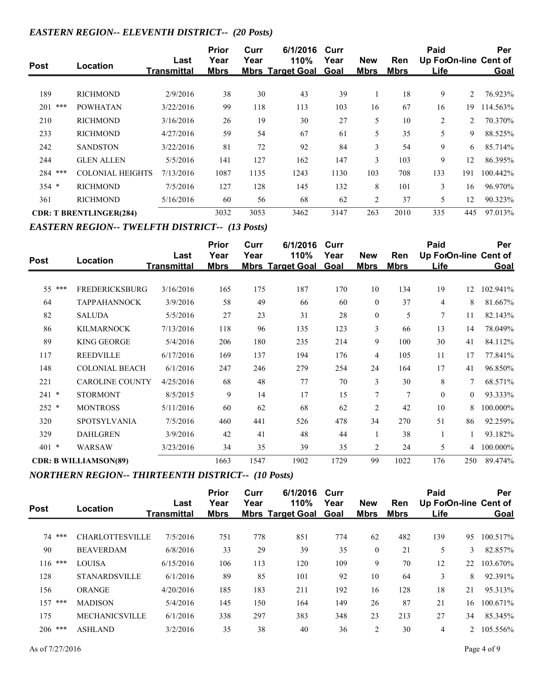#### *EASTERN REGION-- ELEVENTH DISTRICT-- (20 Posts)*

|             |                                |                            | <b>Prior</b>        | Curr | 6/1/2016                        | Curr         |                           |                    | Paid                                 |                | Per      |
|-------------|--------------------------------|----------------------------|---------------------|------|---------------------------------|--------------|---------------------------|--------------------|--------------------------------------|----------------|----------|
| <b>Post</b> | Location                       | Last<br><u>Transmittal</u> | Year<br><u>Mbrs</u> | Year | 110%<br><b>Mbrs Target Goal</b> | Year<br>Goal | <b>New</b><br><u>Mbrs</u> | Ren<br><u>Mbrs</u> | Up ForOn-line Cent of<br><u>Life</u> |                | Goal     |
|             |                                |                            |                     |      |                                 |              |                           |                    |                                      |                |          |
| 189         | <b>RICHMOND</b>                | 2/9/2016                   | 38                  | 30   | 43                              | 39           |                           | 18                 | 9                                    | $\overline{2}$ | 76.923%  |
| 201<br>***  | <b>POWHATAN</b>                | 3/22/2016                  | 99                  | 118  | 113                             | 103          | 16                        | 67                 | 16                                   | 19             | 114.563% |
| 210         | <b>RICHMOND</b>                | 3/16/2016                  | 26                  | 19   | 30                              | 27           | 5                         | 10                 | $\overline{2}$                       | 2              | 70.370%  |
| 233         | <b>RICHMOND</b>                | 4/27/2016                  | 59                  | 54   | 67                              | 61           | 5                         | 35                 | 5                                    | 9              | 88.525%  |
| 242         | <b>SANDSTON</b>                | 3/22/2016                  | 81                  | 72   | 92                              | 84           | 3                         | 54                 | 9                                    | 6              | 85.714%  |
| 244         | <b>GLEN ALLEN</b>              | 5/5/2016                   | 141                 | 127  | 162                             | 147          | 3                         | 103                | 9                                    | 12             | 86.395%  |
| 284 ***     | <b>COLONIAL HEIGHTS</b>        | 7/13/2016                  | 1087                | 1135 | 1243                            | 1130         | 103                       | 708                | 133                                  | 191            | 100.442% |
| $354$ *     | <b>RICHMOND</b>                | 7/5/2016                   | 127                 | 128  | 145                             | 132          | 8                         | 101                | 3                                    | 16             | 96.970%  |
| 361         | <b>RICHMOND</b>                | 5/16/2016                  | 60                  | 56   | 68                              | 62           | $\overline{c}$            | 37                 | 5                                    | 12             | 90.323%  |
|             | <b>CDR: T BRENTLINGER(284)</b> |                            | 3032                | 3053 | 3462                            | 3147         | 263                       | 2010               | 335                                  | 445            | 97.013%  |

*EASTERN REGION-- TWELFTH DISTRICT-- (13 Posts)*

| Post    | Location                     | Last<br><b>Transmittal</b> | <b>Prior</b><br>Year<br><b>Mbrs</b> | Curr<br>Year | 6/1/2016<br>110%<br><b>Mbrs Target Goal</b> | Curr<br>Year<br>Goal | <b>New</b><br><b>Mbrs</b> | Ren<br><b>Mbrs</b> | Paid<br>Life   |                | Per<br>Up ForOn-line Cent of<br>Goal |
|---------|------------------------------|----------------------------|-------------------------------------|--------------|---------------------------------------------|----------------------|---------------------------|--------------------|----------------|----------------|--------------------------------------|
|         |                              |                            |                                     |              |                                             |                      |                           |                    |                |                |                                      |
| 55 ***  | <b>FREDERICKSBURG</b>        | 3/16/2016                  | 165                                 | 175          | 187                                         | 170                  | 10                        | 134                | 19             | 12             | 102.941%                             |
| 64      | <b>TAPPAHANNOCK</b>          | 3/9/2016                   | 58                                  | 49           | 66                                          | 60                   | $\mathbf{0}$              | 37                 | $\overline{4}$ | 8              | 81.667%                              |
| 82      | <b>SALUDA</b>                | 5/5/2016                   | 27                                  | 23           | 31                                          | 28                   | $\boldsymbol{0}$          | 5                  | 7              | 11             | 82.143%                              |
| 86      | <b>KILMARNOCK</b>            | 7/13/2016                  | 118                                 | 96           | 135                                         | 123                  | 3                         | 66                 | 13             | 14             | 78.049%                              |
| 89      | <b>KING GEORGE</b>           | 5/4/2016                   | 206                                 | 180          | 235                                         | 214                  | 9                         | 100                | 30             | 41             | 84.112%                              |
| 117     | <b>REEDVILLE</b>             | 6/17/2016                  | 169                                 | 137          | 194                                         | 176                  | $\overline{4}$            | 105                | 11             | 17             | 77.841%                              |
| 148     | <b>COLONIAL BEACH</b>        | 6/1/2016                   | 247                                 | 246          | 279                                         | 254                  | 24                        | 164                | 17             | 41             | 96.850%                              |
| 221     | <b>CAROLINE COUNTY</b>       | 4/25/2016                  | 68                                  | 48           | 77                                          | 70                   | 3                         | 30                 | 8              | 7              | 68.571%                              |
| $241$ * | <b>STORMONT</b>              | 8/5/2015                   | 9                                   | 14           | 17                                          | 15                   | $\overline{7}$            | 7                  | $\mathbf{0}$   | $\overline{0}$ | 93.333%                              |
| $252 *$ | <b>MONTROSS</b>              | 5/11/2016                  | 60                                  | 62           | 68                                          | 62                   | $\overline{2}$            | 42                 | 10             | 8              | 100.000%                             |
| 320     | SPOTSYLVANIA                 | 7/5/2016                   | 460                                 | 441          | 526                                         | 478                  | 34                        | 270                | 51             | 86             | 92.259%                              |
| 329     | <b>DAHLGREN</b>              | 3/9/2016                   | 42                                  | 41           | 48                                          | 44                   | 1                         | 38                 |                |                | 93.182%                              |
| $401 *$ | <b>WARSAW</b>                | 3/23/2016                  | 34                                  | 35           | 39                                          | 35                   | $\mathfrak{2}$            | 24                 | 5              | 4              | 100.000%                             |
|         | <b>CDR: B WILLIAMSON(89)</b> |                            | 1663                                | 1547         | 1902                                        | 1729                 | 99                        | 1022               | 176            | 250            | 89.474%                              |

*NORTHERN REGION-- THIRTEENTH DISTRICT-- (10 Posts)*

| <b>Post</b> | Location               | Last        | <b>Prior</b><br>Year | Curr<br>Year | 6/1/2016 Curr<br>110%   | Year | <b>New</b>   | Ren         | Paid |    | Per<br>Up ForOn-line Cent of |
|-------------|------------------------|-------------|----------------------|--------------|-------------------------|------|--------------|-------------|------|----|------------------------------|
|             |                        | Transmittal | <b>Mbrs</b>          |              | <b>Mbrs Target Goal</b> | Goal | <b>Mbrs</b>  | <b>Mbrs</b> | Life |    | Goal                         |
| ***<br>74   | <b>CHARLOTTESVILLE</b> | 7/5/2016    | 751                  | 778          | 851                     | 774  | 62           | 482         | 139  | 95 | 100.517%                     |
| 90          | <b>BEAVERDAM</b>       | 6/8/2016    | 33                   | 29           | 39                      | 35   | $\mathbf{0}$ | 21          | 5    | 3  | 82.857%                      |
| $116$ ***   | <b>LOUISA</b>          | 6/15/2016   | 106                  | 113          | 120                     | 109  | 9            | 70          | 12   | 22 | 103.670%                     |
| 128         | <b>STANARDSVILLE</b>   | 6/1/2016    | 89                   | 85           | 101                     | 92   | 10           | 64          | 3    | 8  | 92.391%                      |
| 156         | <b>ORANGE</b>          | 4/20/2016   | 185                  | 183          | 211                     | 192  | 16           | 128         | 18   | 21 | 95.313%                      |
| 157<br>***  | <b>MADISON</b>         | 5/4/2016    | 145                  | 150          | 164                     | 149  | 26           | 87          | 21   | 16 | 100.671%                     |
| 175         | <b>MECHANICSVILLE</b>  | 6/1/2016    | 338                  | 297          | 383                     | 348  | 23           | 213         | 27   | 34 | 85.345%                      |
| $206$ ***   | <b>ASHLAND</b>         | 3/2/2016    | 35                   | 38           | 40                      | 36   | 2            | 30          | 4    |    | 105.556%                     |
|             |                        |             |                      |              |                         |      |              |             |      |    |                              |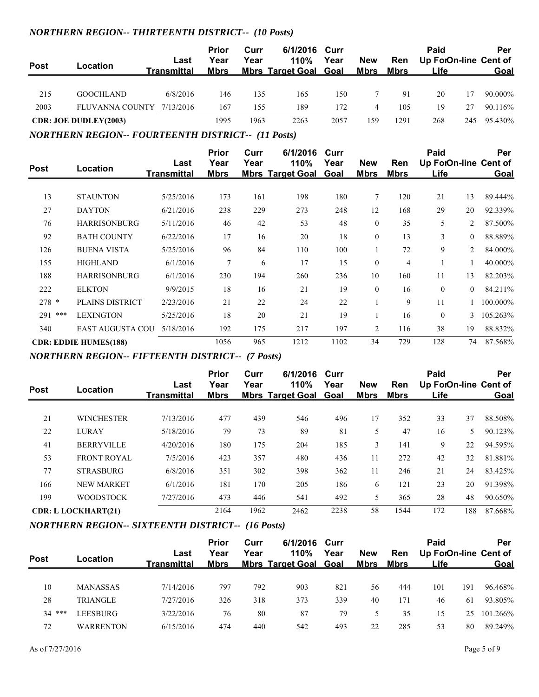#### *NORTHERN REGION-- THIRTEENTH DISTRICT-- (10 Posts)*

| <b>Post</b> | Location                     | Last<br>Transmittal | Prior<br>Year<br><u>Mbrs</u> | Curr<br>Year | 6/1/2016 Curr<br>110%<br><b>Mbrs Target Goal Goal</b> | Year | <b>New</b><br><u>Mbrs</u> | <b>Ren</b><br>Mbrs | Paid<br>Up ForOn-line Cent of<br><u>Life</u> |     | Per<br><b>Goal</b> |
|-------------|------------------------------|---------------------|------------------------------|--------------|-------------------------------------------------------|------|---------------------------|--------------------|----------------------------------------------|-----|--------------------|
| 215         | <b>GOOCHLAND</b>             | 6/8/2016            | 146                          | 135          | 165                                                   | 150  |                           | 91                 | 20                                           | 17  | 90.000%            |
| 2003        | FLUVANNA COUNTY              | 7/13/2016           | 167                          | 155          | 189                                                   | 172  | 4                         | 105                | 19                                           | 27  | 90.116\%           |
|             | <b>CDR: JOE DUDLEY(2003)</b> |                     | 1995                         | 1963         | 2263                                                  | 2057 | 159                       | 1291               | 268                                          | 245 | 95.430%            |

*NORTHERN REGION-- FOURTEENTH DISTRICT-- (11 Posts)*

|             |                              | Last               | <b>Prior</b><br>Year | Curr<br>Year | 6/1/2016<br>110%        | Curr<br>Year | <b>New</b>     | <b>Ren</b>  | Paid<br>Up ForOn-line Cent of |                | Per      |
|-------------|------------------------------|--------------------|----------------------|--------------|-------------------------|--------------|----------------|-------------|-------------------------------|----------------|----------|
| <b>Post</b> | Location                     | <b>Transmittal</b> | <b>Mbrs</b>          |              | <b>Mbrs Target Goal</b> | Goal         | <b>Mbrs</b>    | <u>Mbrs</u> | <b>Life</b>                   |                | Goal     |
|             |                              |                    |                      |              |                         |              |                |             |                               |                |          |
| 13          | <b>STAUNTON</b>              | 5/25/2016          | 173                  | 161          | 198                     | 180          | 7              | 120         | 21                            | 13             | 89.444%  |
| 27          | <b>DAYTON</b>                | 6/21/2016          | 238                  | 229          | 273                     | 248          | 12             | 168         | 29                            | 20             | 92.339%  |
| 76          | <b>HARRISONBURG</b>          | 5/11/2016          | 46                   | 42           | 53                      | 48           | $\theta$       | 35          | 5                             | 2              | 87.500%  |
| 92          | <b>BATH COUNTY</b>           | 6/22/2016          | 17                   | 16           | 20                      | 18           | $\mathbf{0}$   | 13          | 3                             | $\overline{0}$ | 88.889%  |
| 126         | <b>BUENA VISTA</b>           | 5/25/2016          | 96                   | 84           | 110                     | 100          |                | 72          | 9                             | 2              | 84.000%  |
| 155         | <b>HIGHLAND</b>              | 6/1/2016           | 7                    | 6            | 17                      | 15           | $\mathbf{0}$   | 4           |                               |                | 40.000%  |
| 188         | <b>HARRISONBURG</b>          | 6/1/2016           | 230                  | 194          | 260                     | 236          | 10             | 160         | 11                            | 13             | 82.203%  |
| 222         | <b>ELKTON</b>                | 9/9/2015           | 18                   | 16           | 21                      | 19           | $\mathbf{0}$   | 16          | $\overline{0}$                | $\overline{0}$ | 84.211%  |
| 278 *       | PLAINS DISTRICT              | 2/23/2016          | 21                   | 22           | 24                      | 22           |                | 9           | 11                            |                | 100.000% |
| ***<br>291  | <b>LEXINGTON</b>             | 5/25/2016          | 18                   | 20           | 21                      | 19           |                | 16          | $\mathbf{0}$                  | 3              | 105.263% |
| 340         | <b>EAST AUGUSTA COU</b>      | 5/18/2016          | 192                  | 175          | 217                     | 197          | $\overline{2}$ | 116         | 38                            | 19             | 88.832%  |
|             | <b>CDR: EDDIE HUMES(188)</b> |                    | 1056                 | 965          | 1212                    | 1102         | 34             | 729         | 128                           | 74             | 87.568%  |

*NORTHERN REGION-- FIFTEENTH DISTRICT-- (7 Posts)*

|             |                            |                            | <b>Prior</b>        | Curr | 6/1/2016 Curr                   |              |                           |                    | Paid                                 |     | Per         |
|-------------|----------------------------|----------------------------|---------------------|------|---------------------------------|--------------|---------------------------|--------------------|--------------------------------------|-----|-------------|
| <b>Post</b> | Location                   | Last<br><u>Transmittal</u> | Year<br><b>Mbrs</b> | Year | 110%<br><b>Mbrs Target Goal</b> | Year<br>Goal | <b>New</b><br><b>Mbrs</b> | Ren<br><u>Mbrs</u> | Up ForOn-line Cent of<br><u>Life</u> |     | <b>Goal</b> |
| 21          | <b>WINCHESTER</b>          | 7/13/2016                  | 477                 | 439  | 546                             | 496          | 17                        | 352                | 33                                   | 37  | 88.508%     |
| 22          | <b>LURAY</b>               | 5/18/2016                  | 79                  | 73   | 89                              | 81           | 5                         | 47                 | 16                                   | 5.  | 90.123%     |
| 41          | <b>BERRYVILLE</b>          | 4/20/2016                  | 180                 | 175  | 204                             | 185          | 3                         | 141                | 9                                    | 22  | 94.595%     |
| 53          | <b>FRONT ROYAL</b>         | 7/5/2016                   | 423                 | 357  | 480                             | 436          | 11                        | 272                | 42                                   | 32  | 81.881%     |
| 77          | <b>STRASBURG</b>           | 6/8/2016                   | 351                 | 302  | 398                             | 362          | 11                        | 246                | 21                                   | 24  | 83.425%     |
| 166         | <b>NEW MARKET</b>          | 6/1/2016                   | 181                 | 170  | 205                             | 186          | 6                         | 121                | 23                                   | 20  | 91.398%     |
| 199         | <b>WOODSTOCK</b>           | 7/27/2016                  | 473                 | 446  | 541                             | 492          | 5                         | 365                | 28                                   | 48  | 90.650%     |
|             | <b>CDR: L LOCKHART(21)</b> |                            | 2164                | 1962 | 2462                            | 2238         | 58                        | 1544               | 172                                  | 188 | 87.668%     |

## *NORTHERN REGION-- SIXTEENTH DISTRICT-- (16 Posts)*

| <b>Post</b> | Location         | Last        | <b>Prior</b><br>Year | Curr<br>Year | 6/1/2016 Curr<br>110%        | Year | <b>New</b>  | <b>Ren</b>  | Paid        |     | Per<br>Up ForOn-line Cent of |
|-------------|------------------|-------------|----------------------|--------------|------------------------------|------|-------------|-------------|-------------|-----|------------------------------|
|             |                  | Transmittal | <b>Mbrs</b>          |              | <b>Mbrs Target Goal Goal</b> |      | <b>Mbrs</b> | <u>Mbrs</u> | <u>Life</u> |     | <b>Goal</b>                  |
| 10          | <b>MANASSAS</b>  | 7/14/2016   | 797                  | 792          | 903                          | 821  | 56          | 444         | 101         | 191 | 96.468%                      |
| 28          | TRIANGLE         | 7/27/2016   | 326                  | 318          | 373                          | 339  | 40          | 171         | 46          | 61  | 93.805%                      |
| $34$ ***    | <b>LEESBURG</b>  | 3/22/2016   | 76                   | 80           | 87                           | 79   |             | 35          | 15          | 25  | 101.266%                     |
| 72          | <b>WARRENTON</b> | 6/15/2016   | 474                  | 440          | 542                          | 493  | 22          | 285         | 53          | 80  | 89.249%                      |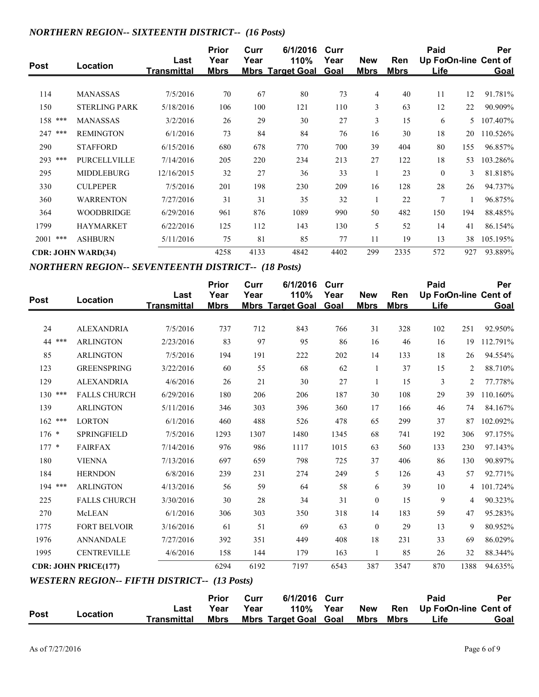## *NORTHERN REGION-- SIXTEENTH DISTRICT-- (16 Posts)*

| Post       | Location                  | Last<br><u>Transmittal</u> | <b>Prior</b><br>Year<br><u>Mbrs</u> | Curr<br>Year | 6/1/2016<br>110%<br><b>Mbrs Target Goal</b> | Curr<br>Year<br>Goal | <b>New</b><br><u>Mbrs</u> | Ren<br><u>Mbrs</u> | Paid<br>Up ForOn-line Cent of<br><u>Life</u> |     | Per<br>Goal |
|------------|---------------------------|----------------------------|-------------------------------------|--------------|---------------------------------------------|----------------------|---------------------------|--------------------|----------------------------------------------|-----|-------------|
|            |                           |                            |                                     |              |                                             |                      |                           |                    |                                              |     |             |
| 114        | <b>MANASSAS</b>           | 7/5/2016                   | 70                                  | 67           | 80                                          | 73                   | $\overline{4}$            | 40                 | 11                                           | 12  | 91.781%     |
| 150        | <b>STERLING PARK</b>      | 5/18/2016                  | 106                                 | 100          | 121                                         | 110                  | 3                         | 63                 | 12                                           | 22  | 90.909%     |
| 158 ***    | <b>MANASSAS</b>           | 3/2/2016                   | 26                                  | 29           | 30                                          | 27                   | 3                         | 15                 | 6                                            | 5.  | 107.407%    |
| 247<br>*** | <b>REMINGTON</b>          | 6/1/2016                   | 73                                  | 84           | 84                                          | 76                   | 16                        | 30                 | 18                                           | 20  | 110.526%    |
| 290        | <b>STAFFORD</b>           | 6/15/2016                  | 680                                 | 678          | 770                                         | 700                  | 39                        | 404                | 80                                           | 155 | 96.857%     |
| 293 ***    | <b>PURCELLVILLE</b>       | 7/14/2016                  | 205                                 | 220          | 234                                         | 213                  | 27                        | 122                | 18                                           | 53  | 103.286%    |
| 295        | <b>MIDDLEBURG</b>         | 12/16/2015                 | 32                                  | 27           | 36                                          | 33                   | 1                         | 23                 | $\mathbf{0}$                                 | 3   | 81.818%     |
| 330        | <b>CULPEPER</b>           | 7/5/2016                   | 201                                 | 198          | 230                                         | 209                  | 16                        | 128                | 28                                           | 26  | 94.737%     |
| 360        | <b>WARRENTON</b>          | 7/27/2016                  | 31                                  | 31           | 35                                          | 32                   | 1                         | 22                 | $\overline{7}$                               |     | 96.875%     |
| 364        | <b>WOODBRIDGE</b>         | 6/29/2016                  | 961                                 | 876          | 1089                                        | 990                  | 50                        | 482                | 150                                          | 194 | 88.485%     |
| 1799       | <b>HAYMARKET</b>          | 6/22/2016                  | 125                                 | 112          | 143                                         | 130                  | 5                         | 52                 | 14                                           | 41  | 86.154%     |
| $2001$ *** | <b>ASHBURN</b>            | 5/11/2016                  | 75                                  | 81           | 85                                          | 77                   | 11                        | 19                 | 13                                           | 38  | 105.195%    |
|            | <b>CDR: JOHN WARD(34)</b> |                            | 4258                                | 4133         | 4842                                        | 4402                 | 299                       | 2335               | 572                                          | 927 | 93.889%     |

*NORTHERN REGION-- SEVENTEENTH DISTRICT-- (18 Posts)*

| <b>Post</b> | Location                                            | Last<br><b>Transmittal</b> | <b>Prior</b><br>Year<br><b>Mbrs</b> | Curr<br>Year | 6/1/2016<br>110%<br><b>Mbrs Target Goal</b> | Curr<br>Year<br>Goal | <b>New</b><br><b>Mbrs</b> | Ren<br><b>Mbrs</b> | Paid<br>Life   |      | Per<br>Up ForOn-line Cent of<br>Goal |
|-------------|-----------------------------------------------------|----------------------------|-------------------------------------|--------------|---------------------------------------------|----------------------|---------------------------|--------------------|----------------|------|--------------------------------------|
| 24          | <b>ALEXANDRIA</b>                                   | 7/5/2016                   | 737                                 | 712          | 843                                         | 766                  | 31                        | 328                | 102            | 251  | 92.950%                              |
| 44 ***      | <b>ARLINGTON</b>                                    | 2/23/2016                  | 83                                  | 97           | 95                                          | 86                   | 16                        | 46                 | 16             | 19   | 112.791%                             |
| 85          | <b>ARLINGTON</b>                                    | 7/5/2016                   | 194                                 | 191          | 222                                         | 202                  | 14                        | 133                | 18             | 26   | 94.554%                              |
| 123         | <b>GREENSPRING</b>                                  | 3/22/2016                  | 60                                  | 55           | 68                                          | 62                   | $\mathbf{1}$              | 37                 | 15             | 2    | 88.710%                              |
| 129         | <b>ALEXANDRIA</b>                                   | 4/6/2016                   | 26                                  | 21           | 30                                          | 27                   | 1                         | 15                 | $\mathfrak{Z}$ | 2    | 77.778%                              |
| 130 ***     | <b>FALLS CHURCH</b>                                 | 6/29/2016                  | 180                                 | 206          | 206                                         | 187                  | 30                        | 108                | 29             | 39   | 110.160%                             |
| 139         | <b>ARLINGTON</b>                                    | 5/11/2016                  | 346                                 | 303          | 396                                         | 360                  | 17                        | 166                | 46             | 74   | 84.167%                              |
| ***<br>162  | <b>LORTON</b>                                       | 6/1/2016                   | 460                                 | 488          | 526                                         | 478                  | 65                        | 299                | 37             | 87   | 102.092%                             |
| $176*$      | <b>SPRINGFIELD</b>                                  | 7/5/2016                   | 1293                                | 1307         | 1480                                        | 1345                 | 68                        | 741                | 192            | 306  | 97.175%                              |
| $177*$      | <b>FAIRFAX</b>                                      | 7/14/2016                  | 976                                 | 986          | 1117                                        | 1015                 | 63                        | 560                | 133            | 230  | 97.143%                              |
| 180         | <b>VIENNA</b>                                       | 7/13/2016                  | 697                                 | 659          | 798                                         | 725                  | 37                        | 406                | 86             | 130  | 90.897%                              |
| 184         | <b>HERNDON</b>                                      | 6/8/2016                   | 239                                 | 231          | 274                                         | 249                  | 5                         | 126                | 43             | 57   | 92.771%                              |
| 194 ***     | <b>ARLINGTON</b>                                    | 4/13/2016                  | 56                                  | 59           | 64                                          | 58                   | 6                         | 39                 | 10             | 4    | 101.724%                             |
| 225         | <b>FALLS CHURCH</b>                                 | 3/30/2016                  | 30                                  | $28\,$       | 34                                          | 31                   | $\mathbf{0}$              | 15                 | 9              | 4    | 90.323%                              |
| 270         | McLEAN                                              | 6/1/2016                   | 306                                 | 303          | 350                                         | 318                  | 14                        | 183                | 59             | 47   | 95.283%                              |
| 1775        | <b>FORT BELVOIR</b>                                 | 3/16/2016                  | 61                                  | 51           | 69                                          | 63                   | $\theta$                  | 29                 | 13             | 9    | 80.952%                              |
| 1976        | <b>ANNANDALE</b>                                    | 7/27/2016                  | 392                                 | 351          | 449                                         | 408                  | 18                        | 231                | 33             | 69   | 86.029%                              |
| 1995        | <b>CENTREVILLE</b>                                  | 4/6/2016                   | 158                                 | 144          | 179                                         | 163                  | 1                         | 85                 | 26             | 32   | 88.344%                              |
|             | <b>CDR: JOHN PRICE(177)</b>                         |                            | 6294                                | 6192         | 7197                                        | 6543                 | 387                       | 3547               | 870            | 1388 | 94.635%                              |
|             | <b>WESTERN REGION-- FIFTH DISTRICT-- (13 Posts)</b> |                            |                                     |              |                                             |                      |                           |                    |                |      |                                      |
|             |                                                     |                            | <b>Prior</b>                        | Curr         | 6/1/2016                                    | Curr                 |                           |                    | Paid           |      | Per                                  |
| <b>Post</b> | Location                                            | Last<br><b>Transmittal</b> | Year<br><b>Mbrs</b>                 | Year         | 110%<br><b>Mbrs Target Goal</b>             | Year<br>Goal         | <b>New</b><br><b>Mbrs</b> | Ren<br><b>Mbrs</b> | Life           |      | Up ForOn-line Cent of<br><u>Goal</u> |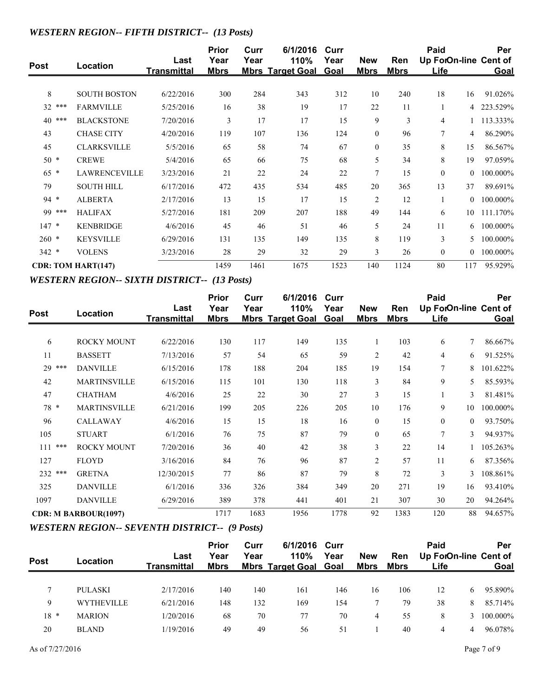## *WESTERN REGION-- FIFTH DISTRICT-- (13 Posts)*

| Post      | Location                  | Last<br><b>Transmittal</b> | <b>Prior</b><br>Year<br><u>Mbrs</u> | Curr<br>Year | 6/1/2016<br>110%<br><b>Mbrs Target Goal</b> | Curr<br>Year<br>Goal | <b>New</b><br><b>Mbrs</b> | <b>Ren</b><br><b>Mbrs</b> | Paid<br>Up ForOn-line Cent of<br><u>Life</u> |     | Per<br>Goal |
|-----------|---------------------------|----------------------------|-------------------------------------|--------------|---------------------------------------------|----------------------|---------------------------|---------------------------|----------------------------------------------|-----|-------------|
|           |                           |                            |                                     |              |                                             |                      |                           |                           |                                              |     |             |
| 8         | <b>SOUTH BOSTON</b>       | 6/22/2016                  | 300                                 | 284          | 343                                         | 312                  | 10                        | 240                       | 18                                           | 16  | 91.026%     |
| 32<br>*** | <b>FARMVILLE</b>          | 5/25/2016                  | 16                                  | 38           | 19                                          | 17                   | 22                        | 11                        |                                              | 4   | 223.529%    |
| ***<br>40 | <b>BLACKSTONE</b>         | 7/20/2016                  | 3                                   | 17           | 17                                          | 15                   | 9                         | 3                         | $\overline{4}$                               |     | 113.333%    |
| 43        | <b>CHASE CITY</b>         | 4/20/2016                  | 119                                 | 107          | 136                                         | 124                  | $\mathbf{0}$              | 96                        | 7                                            | 4   | 86.290%     |
| 45        | <b>CLARKSVILLE</b>        | 5/5/2016                   | 65                                  | 58           | 74                                          | 67                   | $\theta$                  | 35                        | 8                                            | 15  | 86.567%     |
| $50*$     | <b>CREWE</b>              | 5/4/2016                   | 65                                  | 66           | 75                                          | 68                   | 5                         | 34                        | 8                                            | 19  | 97.059%     |
| $65 *$    | <b>LAWRENCEVILLE</b>      | 3/23/2016                  | 21                                  | 22           | 24                                          | 22                   | 7                         | 15                        | $\mathbf{0}$                                 | 0   | 100.000%    |
| 79        | <b>SOUTH HILL</b>         | 6/17/2016                  | 472                                 | 435          | 534                                         | 485                  | 20                        | 365                       | 13                                           | 37  | 89.691%     |
| 94 *      | <b>ALBERTA</b>            | 2/17/2016                  | 13                                  | 15           | 17                                          | 15                   | 2                         | 12                        |                                              | 0   | 100.000%    |
| 99 ***    | <b>HALIFAX</b>            | 5/27/2016                  | 181                                 | 209          | 207                                         | 188                  | 49                        | 144                       | 6                                            | 10  | 111.170%    |
| $147 *$   | <b>KENBRIDGE</b>          | 4/6/2016                   | 45                                  | 46           | 51                                          | 46                   | 5                         | 24                        | 11                                           | 6   | 100.000%    |
| $260 *$   | <b>KEYSVILLE</b>          | 6/29/2016                  | 131                                 | 135          | 149                                         | 135                  | 8                         | 119                       | 3                                            | 5.  | 100.000%    |
| $342 *$   | <b>VOLENS</b>             | 3/23/2016                  | 28                                  | 29           | 32                                          | 29                   | 3                         | 26                        | $\boldsymbol{0}$                             | 0   | 100.000%    |
|           | <b>CDR: TOM HART(147)</b> |                            | 1459                                | 1461         | 1675                                        | 1523                 | 140                       | 1124                      | 80                                           | 117 | 95.929%     |

## *WESTERN REGION-- SIXTH DISTRICT-- (13 Posts)*

| <b>Post</b> | Location                    | Last<br><b>Transmittal</b> | <b>Prior</b><br>Year<br>Mbrs | Curr<br>Year | 6/1/2016<br>110%<br><b>Mbrs Target Goal</b> | Curr<br>Year<br>Goal | <b>New</b><br><b>Mbrs</b> | Ren<br><b>Mbrs</b> | Paid<br>Life    |                | Per<br>Up ForOn-line Cent of<br>Goal |
|-------------|-----------------------------|----------------------------|------------------------------|--------------|---------------------------------------------|----------------------|---------------------------|--------------------|-----------------|----------------|--------------------------------------|
|             |                             |                            |                              |              |                                             |                      |                           |                    |                 |                |                                      |
| 6           | <b>ROCKY MOUNT</b>          | 6/22/2016                  | 130                          | 117          | 149                                         | 135                  | 1                         | 103                | 6               | 7              | 86.667%                              |
| 11          | <b>BASSETT</b>              | 7/13/2016                  | 57                           | 54           | 65                                          | 59                   | $\overline{c}$            | 42                 | $\overline{4}$  | 6              | 91.525%                              |
| 29 ***      | <b>DANVILLE</b>             | 6/15/2016                  | 178                          | 188          | 204                                         | 185                  | 19                        | 154                | $7\phantom{.0}$ | 8              | 101.622%                             |
| 42          | <b>MARTINSVILLE</b>         | 6/15/2016                  | 115                          | 101          | 130                                         | 118                  | 3                         | 84                 | 9               | 5.             | 85.593%                              |
| 47          | <b>CHATHAM</b>              | 4/6/2016                   | 25                           | 22           | 30                                          | 27                   | 3                         | 15                 | 1               | 3              | 81.481%                              |
| 78 *        | <b>MARTINSVILLE</b>         | 6/21/2016                  | 199                          | 205          | 226                                         | 205                  | 10                        | 176                | 9               | 10             | 100.000%                             |
| 96          | <b>CALLAWAY</b>             | 4/6/2016                   | 15                           | 15           | 18                                          | 16                   | $\theta$                  | 15                 | $\theta$        | $\theta$       | 93.750%                              |
| 105         | <b>STUART</b>               | 6/1/2016                   | 76                           | 75           | 87                                          | 79                   | $\theta$                  | 65                 | 7               | $\mathfrak{Z}$ | 94.937%                              |
| ***<br>111  | <b>ROCKY MOUNT</b>          | 7/20/2016                  | 36                           | 40           | 42                                          | 38                   | 3                         | 22                 | 14              |                | 105.263%                             |
| 127         | <b>FLOYD</b>                | 3/16/2016                  | 84                           | 76           | 96                                          | 87                   | $\overline{c}$            | 57                 | 11              | 6              | 87.356%                              |
| 232 ***     | <b>GRETNA</b>               | 12/30/2015                 | 77                           | 86           | 87                                          | 79                   | 8                         | 72                 | 3               | 3              | 108.861%                             |
| 325         | <b>DANVILLE</b>             | 6/1/2016                   | 336                          | 326          | 384                                         | 349                  | 20                        | 271                | 19              | 16             | 93.410%                              |
| 1097        | <b>DANVILLE</b>             | 6/29/2016                  | 389                          | 378          | 441                                         | 401                  | 21                        | 307                | 30              | 20             | 94.264%                              |
|             | <b>CDR: M BARBOUR(1097)</b> |                            | 1717                         | 1683         | 1956                                        | 1778                 | 92                        | 1383               | 120             | 88             | 94.657%                              |

# *WESTERN REGION-- SEVENTH DISTRICT-- (9 Posts)*

| Location          | Last      | <b>Prior</b><br>Year | Curr<br>Year | 110% | Year | <b>New</b>                                    | Ren         | Paid        |             | Per                   |
|-------------------|-----------|----------------------|--------------|------|------|-----------------------------------------------|-------------|-------------|-------------|-----------------------|
|                   |           |                      |              |      |      |                                               |             |             |             | <b>Goal</b>           |
| <b>PULASKI</b>    | 2/17/2016 | 140                  | 140          | 161  | 146  | 16                                            | 106         | 12          | 6           | 95.890%               |
| <b>WYTHEVILLE</b> | 6/21/2016 | 148                  | 132          | 169  | 154  |                                               | 79          | 38          | 8.          | 85.714%               |
| <b>MARION</b>     | 1/20/2016 | 68                   | 70           | 77   | 70   | 4                                             | 55          | 8           | 3           | 100.000%              |
| <b>BLAND</b>      | 1/19/2016 | 49                   | 49           | 56   | 51   |                                               | 40          | 4           | 4           | 96.078%               |
|                   |           | <b>Transmittal</b>   | <b>Mbrs</b>  |      |      | 6/1/2016 Curr<br><b>Mbrs Target Goal Goal</b> | <u>Mbrs</u> | <u>Mbrs</u> | <u>Life</u> | Up ForOn-line Cent of |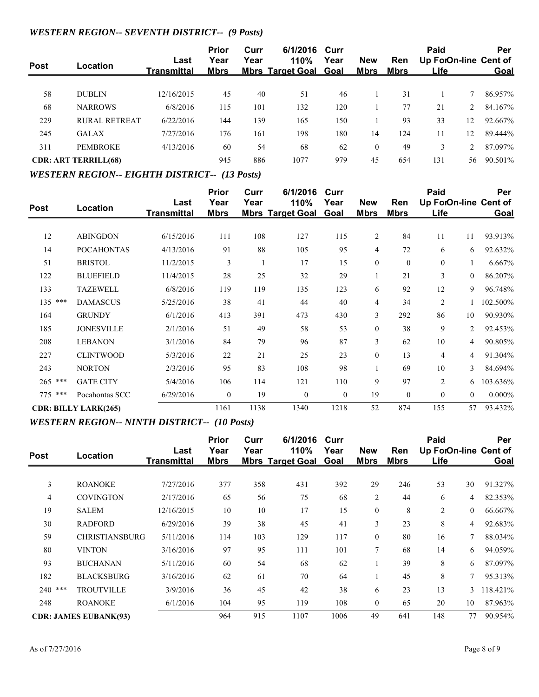# *WESTERN REGION-- SEVENTH DISTRICT-- (9 Posts)*

| <b>Post</b> | Location                    | Last        | <b>Prior</b><br>Year | Curr<br>Year | 6/1/2016 Curr<br>110%        | Year | <b>New</b>  | <b>Ren</b>  | Paid<br>Up ForOn-line Cent of |    | Per         |
|-------------|-----------------------------|-------------|----------------------|--------------|------------------------------|------|-------------|-------------|-------------------------------|----|-------------|
|             |                             | Transmittal | <u>Mbrs</u>          |              | <b>Mbrs Target Goal Goal</b> |      | <u>Mbrs</u> | <u>Mbrs</u> | <u>Life</u>                   |    | <b>Goal</b> |
| 58          | <b>DUBLIN</b>               | 12/16/2015  | 45                   | 40           | 51                           | 46   |             | 31          |                               |    | 86.957%     |
| 68          | <b>NARROWS</b>              | 6/8/2016    | 115                  | 101          | 132                          | 120  |             | 77          | 21                            |    | 84.167%     |
| 229         | <b>RURAL RETREAT</b>        | 6/22/2016   | 144                  | 139          | 165                          | 150  |             | 93          | 33                            | 12 | 92.667%     |
| 245         | <b>GALAX</b>                | 7/27/2016   | 176                  | 161          | 198                          | 180  | 14          | 124         | 11                            | 12 | 89.444%     |
| 311         | <b>PEMBROKE</b>             | 4/13/2016   | 60                   | 54           | 68                           | 62   | $\theta$    | 49          | 3                             |    | 87.097%     |
|             | <b>CDR: ART TERRILL(68)</b> |             | 945                  | 886          | 1077                         | 979  | 45          | 654         | 131                           | 56 | 90.501%     |

## *WESTERN REGION-- EIGHTH DISTRICT-- (13 Posts)*

|         |                             |                            | <b>Prior</b>        | Curr | 6/1/2016                        | Curr         |                           |                    | Paid           |                | Per                                  |
|---------|-----------------------------|----------------------------|---------------------|------|---------------------------------|--------------|---------------------------|--------------------|----------------|----------------|--------------------------------------|
| Post    | Location                    | Last<br><b>Transmittal</b> | Year<br><u>Mbrs</u> | Year | 110%<br><b>Mbrs Target Goal</b> | Year<br>Goal | <b>New</b><br><b>Mbrs</b> | Ren<br><b>Mbrs</b> | <u>Life</u>    |                | Up ForOn-line Cent of<br><b>Goal</b> |
|         |                             |                            |                     |      |                                 |              |                           |                    |                |                |                                      |
| 12      | <b>ABINGDON</b>             | 6/15/2016                  | 111                 | 108  | 127                             | 115          | $\overline{2}$            | 84                 | 11             | 11             | 93.913%                              |
| 14      | <b>POCAHONTAS</b>           | 4/13/2016                  | 91                  | 88   | 105                             | 95           | $\overline{4}$            | 72                 | 6              | 6              | 92.632%                              |
| 51      | <b>BRISTOL</b>              | 11/2/2015                  | 3                   |      | 17                              | 15           | $\mathbf{0}$              | $\mathbf{0}$       | $\theta$       | $\mathbf{1}$   | 6.667%                               |
| 122     | <b>BLUEFIELD</b>            | 11/4/2015                  | 28                  | 25   | 32                              | 29           |                           | 21                 | 3              | $\overline{0}$ | 86.207%                              |
| 133     | <b>TAZEWELL</b>             | 6/8/2016                   | 119                 | 119  | 135                             | 123          | 6                         | 92                 | 12             | 9              | 96.748%                              |
| 135 *** | <b>DAMASCUS</b>             | 5/25/2016                  | 38                  | 41   | 44                              | 40           | 4                         | 34                 | $\overline{c}$ |                | 102.500%                             |
| 164     | <b>GRUNDY</b>               | 6/1/2016                   | 413                 | 391  | 473                             | 430          | $\mathfrak{Z}$            | 292                | 86             | 10             | 90.930%                              |
| 185     | <b>JONESVILLE</b>           | 2/1/2016                   | 51                  | 49   | 58                              | 53           | $\theta$                  | 38                 | 9              | 2              | 92.453%                              |
| 208     | <b>LEBANON</b>              | 3/1/2016                   | 84                  | 79   | 96                              | 87           | 3                         | 62                 | 10             | 4              | 90.805%                              |
| 227     | <b>CLINTWOOD</b>            | 5/3/2016                   | 22                  | 21   | 25                              | 23           | $\theta$                  | 13                 | 4              | 4              | 91.304%                              |
| 243     | <b>NORTON</b>               | 2/3/2016                   | 95                  | 83   | 108                             | 98           |                           | 69                 | 10             | 3              | 84.694%                              |
| 265 *** | <b>GATE CITY</b>            | 5/4/2016                   | 106                 | 114  | 121                             | 110          | 9                         | 97                 | 2              | 6              | 103.636%                             |
| 775 *** | Pocahontas SCC              | 6/29/2016                  | $\mathbf{0}$        | 19   | $\mathbf{0}$                    | $\mathbf{0}$ | 19                        | $\mathbf{0}$       | $\overline{0}$ | $\mathbf{0}$   | $0.000\%$                            |
|         | <b>CDR: BILLY LARK(265)</b> |                            | 1161                | 1138 | 1340                            | 1218         | 52                        | 874                | 155            | 57             | 93.432%                              |

# *WESTERN REGION-- NINTH DISTRICT-- (10 Posts)*

|                |                              |                            | <b>Prior</b>        | Curr | 6/1/2016                        | Curr         |                           |                    | Paid                          |              | Per      |
|----------------|------------------------------|----------------------------|---------------------|------|---------------------------------|--------------|---------------------------|--------------------|-------------------------------|--------------|----------|
| Post           | Location                     | Last<br><b>Transmittal</b> | Year<br><b>Mbrs</b> | Year | 110%<br><b>Mbrs Target Goal</b> | Year<br>Goal | <b>New</b><br><b>Mbrs</b> | Ren<br><b>Mbrs</b> | Up ForOn-line Cent of<br>Life |              | Goal     |
|                |                              |                            |                     |      |                                 |              |                           |                    |                               |              |          |
| 3              | <b>ROANOKE</b>               | 7/27/2016                  | 377                 | 358  | 431                             | 392          | 29                        | 246                | 53                            | 30           | 91.327%  |
| $\overline{4}$ | <b>COVINGTON</b>             | 2/17/2016                  | 65                  | 56   | 75                              | 68           | $\overline{2}$            | 44                 | 6                             | 4            | 82.353%  |
| 19             | <b>SALEM</b>                 | 12/16/2015                 | 10                  | 10   | 17                              | 15           | $\mathbf{0}$              | 8                  | $\overline{2}$                | $\theta$     | 66.667%  |
| 30             | <b>RADFORD</b>               | 6/29/2016                  | 39                  | 38   | 45                              | 41           | 3                         | 23                 | 8                             | 4            | 92.683%  |
| 59             | <b>CHRISTIANSBURG</b>        | 5/11/2016                  | 114                 | 103  | 129                             | 117          | $\mathbf{0}$              | 80                 | 16                            |              | 88.034%  |
| 80             | VINTON                       | 3/16/2016                  | 97                  | 95   | 111                             | 101          | 7                         | 68                 | 14                            | 6            | 94.059%  |
| 93             | <b>BUCHANAN</b>              | 5/11/2016                  | 60                  | 54   | 68                              | 62           |                           | 39                 | 8                             | 6            | 87.097%  |
| 182            | <b>BLACKSBURG</b>            | 3/16/2016                  | 62                  | 61   | 70                              | 64           |                           | 45                 | 8                             |              | 95.313%  |
| 240 ***        | <b>TROUTVILLE</b>            | 3/9/2016                   | 36                  | 45   | 42                              | 38           | 6                         | 23                 | 13                            | $\mathbf{3}$ | 118.421% |
| 248            | <b>ROANOKE</b>               | 6/1/2016                   | 104                 | 95   | 119                             | 108          | $\mathbf{0}$              | 65                 | 20                            | 10           | 87.963%  |
|                | <b>CDR: JAMES EUBANK(93)</b> |                            | 964                 | 915  | 1107                            | 1006         | 49                        | 641                | 148                           | 77           | 90.954%  |